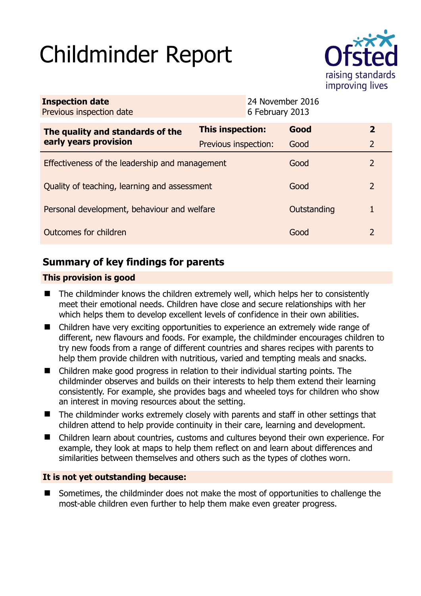# Childminder Report



| <b>Inspection date</b><br>Previous inspection date        |                      | 24 November 2016<br>6 February 2013 |             |                |
|-----------------------------------------------------------|----------------------|-------------------------------------|-------------|----------------|
| The quality and standards of the<br>early years provision | This inspection:     |                                     | Good        | $\overline{2}$ |
|                                                           | Previous inspection: |                                     | Good        | $\overline{2}$ |
| Effectiveness of the leadership and management            |                      |                                     | Good        | 2              |
| Quality of teaching, learning and assessment              |                      |                                     | Good        | 2              |
| Personal development, behaviour and welfare               |                      |                                     | Outstanding | 1              |
| Outcomes for children                                     |                      |                                     | Good        | 2              |

# **Summary of key findings for parents**

## **This provision is good**

- The childminder knows the children extremely well, which helps her to consistently meet their emotional needs. Children have close and secure relationships with her which helps them to develop excellent levels of confidence in their own abilities.
- Children have very exciting opportunities to experience an extremely wide range of different, new flavours and foods. For example, the childminder encourages children to try new foods from a range of different countries and shares recipes with parents to help them provide children with nutritious, varied and tempting meals and snacks.
- Children make good progress in relation to their individual starting points. The childminder observes and builds on their interests to help them extend their learning consistently. For example, she provides bags and wheeled toys for children who show an interest in moving resources about the setting.
- The childminder works extremely closely with parents and staff in other settings that children attend to help provide continuity in their care, learning and development.
- Children learn about countries, customs and cultures beyond their own experience. For example, they look at maps to help them reflect on and learn about differences and similarities between themselves and others such as the types of clothes worn.

#### **It is not yet outstanding because:**

■ Sometimes, the childminder does not make the most of opportunities to challenge the most-able children even further to help them make even greater progress.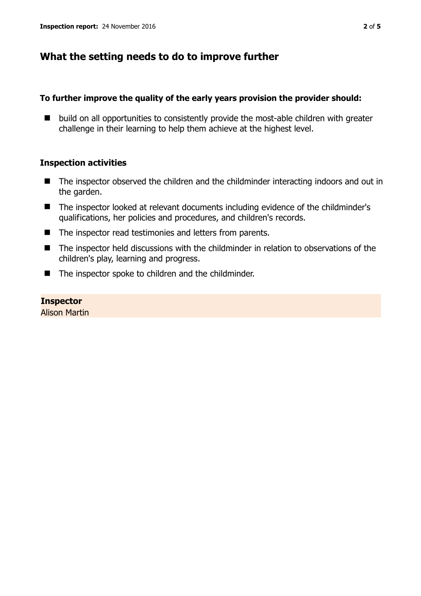# **What the setting needs to do to improve further**

#### **To further improve the quality of the early years provision the provider should:**

■ build on all opportunities to consistently provide the most-able children with greater challenge in their learning to help them achieve at the highest level.

### **Inspection activities**

- The inspector observed the children and the childminder interacting indoors and out in the garden.
- The inspector looked at relevant documents including evidence of the childminder's qualifications, her policies and procedures, and children's records.
- The inspector read testimonies and letters from parents.
- The inspector held discussions with the childminder in relation to observations of the children's play, learning and progress.
- The inspector spoke to children and the childminder.

## **Inspector**

Alison Martin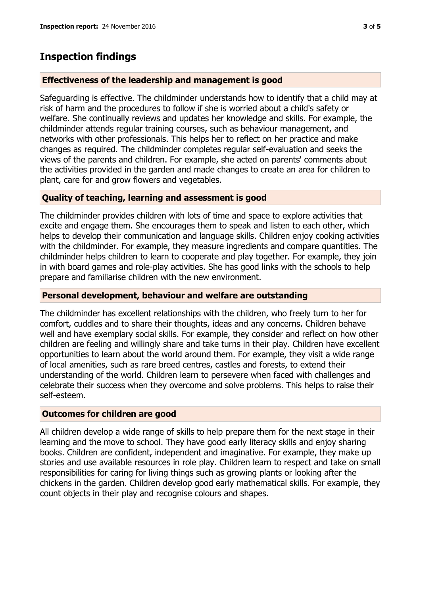## **Inspection findings**

#### **Effectiveness of the leadership and management is good**

Safeguarding is effective. The childminder understands how to identify that a child may at risk of harm and the procedures to follow if she is worried about a child's safety or welfare. She continually reviews and updates her knowledge and skills. For example, the childminder attends regular training courses, such as behaviour management, and networks with other professionals. This helps her to reflect on her practice and make changes as required. The childminder completes regular self-evaluation and seeks the views of the parents and children. For example, she acted on parents' comments about the activities provided in the garden and made changes to create an area for children to plant, care for and grow flowers and vegetables.

#### **Quality of teaching, learning and assessment is good**

The childminder provides children with lots of time and space to explore activities that excite and engage them. She encourages them to speak and listen to each other, which helps to develop their communication and language skills. Children enjoy cooking activities with the childminder. For example, they measure ingredients and compare quantities. The childminder helps children to learn to cooperate and play together. For example, they join in with board games and role-play activities. She has good links with the schools to help prepare and familiarise children with the new environment.

#### **Personal development, behaviour and welfare are outstanding**

The childminder has excellent relationships with the children, who freely turn to her for comfort, cuddles and to share their thoughts, ideas and any concerns. Children behave well and have exemplary social skills. For example, they consider and reflect on how other children are feeling and willingly share and take turns in their play. Children have excellent opportunities to learn about the world around them. For example, they visit a wide range of local amenities, such as rare breed centres, castles and forests, to extend their understanding of the world. Children learn to persevere when faced with challenges and celebrate their success when they overcome and solve problems. This helps to raise their self-esteem.

#### **Outcomes for children are good**

All children develop a wide range of skills to help prepare them for the next stage in their learning and the move to school. They have good early literacy skills and enjoy sharing books. Children are confident, independent and imaginative. For example, they make up stories and use available resources in role play. Children learn to respect and take on small responsibilities for caring for living things such as growing plants or looking after the chickens in the garden. Children develop good early mathematical skills. For example, they count objects in their play and recognise colours and shapes.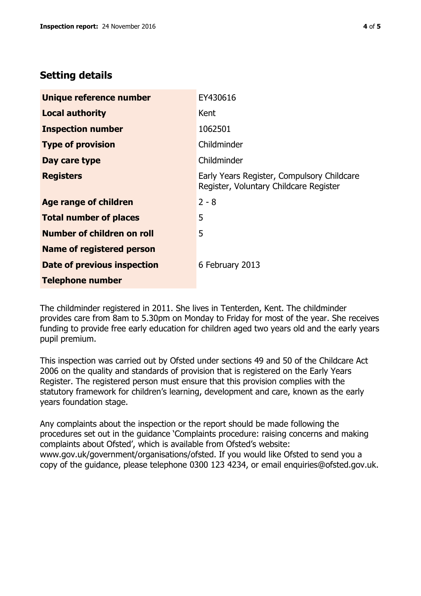# **Setting details**

| Unique reference number           | EY430616                                                                             |  |
|-----------------------------------|--------------------------------------------------------------------------------------|--|
| <b>Local authority</b>            | Kent                                                                                 |  |
| <b>Inspection number</b>          | 1062501                                                                              |  |
| <b>Type of provision</b>          | Childminder                                                                          |  |
| Day care type                     | Childminder                                                                          |  |
| <b>Registers</b>                  | Early Years Register, Compulsory Childcare<br>Register, Voluntary Childcare Register |  |
| <b>Age range of children</b>      | $2 - 8$                                                                              |  |
| <b>Total number of places</b>     | 5                                                                                    |  |
| <b>Number of children on roll</b> | 5                                                                                    |  |
| <b>Name of registered person</b>  |                                                                                      |  |
| Date of previous inspection       | 6 February 2013                                                                      |  |
| <b>Telephone number</b>           |                                                                                      |  |

The childminder registered in 2011. She lives in Tenterden, Kent. The childminder provides care from 8am to 5.30pm on Monday to Friday for most of the year. She receives funding to provide free early education for children aged two years old and the early years pupil premium.

This inspection was carried out by Ofsted under sections 49 and 50 of the Childcare Act 2006 on the quality and standards of provision that is registered on the Early Years Register. The registered person must ensure that this provision complies with the statutory framework for children's learning, development and care, known as the early years foundation stage.

Any complaints about the inspection or the report should be made following the procedures set out in the guidance 'Complaints procedure: raising concerns and making complaints about Ofsted', which is available from Ofsted's website: www.gov.uk/government/organisations/ofsted. If you would like Ofsted to send you a copy of the guidance, please telephone 0300 123 4234, or email enquiries@ofsted.gov.uk.